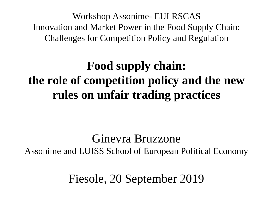Workshop Assonime- EUI RSCAS Innovation and Market Power in the Food Supply Chain: Challenges for Competition Policy and Regulation

#### **Food supply chain: the role of competition policy and the new rules on unfair trading practices**

#### Ginevra Bruzzone Assonime and LUISS School of European Political Economy

Fiesole, 20 September 2019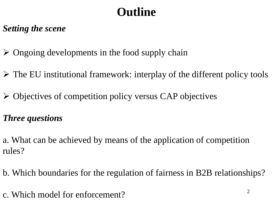## **Outline**

#### *Setting the scene*

- $\triangleright$  Ongoing developments in the food supply chain
- ➢ The EU institutional framework: interplay of the different policy tools
- ➢ Objectives of competition policy versus CAP objectives

#### *Three questions*

a. What can be achieved by means of the application of competition rules?

- b. Which boundaries for the regulation of fairness in B2B relationships?
- c. Which model for enforcement?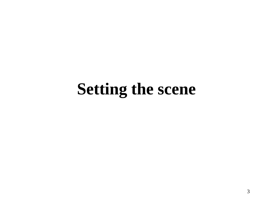## **Setting the scene**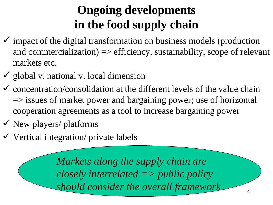### **Ongoing developments in the food supply chain**

- $\checkmark$  impact of the digital transformation on business models (production and commercialization)  $\Rightarrow$  efficiency, sustainability, scope of relevant markets etc.
- $\checkmark$  global v. national v. local dimension
- $\checkmark$  concentration/consolidation at the different levels of the value chain  $\Rightarrow$  issues of market power and bargaining power; use of horizontal cooperation agreements as a tool to increase bargaining power
- $\checkmark$  New players/ platforms
- $\checkmark$  Vertical integration/ private labels

*Markets along the supply chain are closely interrelated => public policy should consider the overall framework*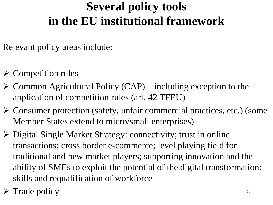#### **Several policy tools in the EU institutional framework**

Relevant policy areas include:

- $\triangleright$  Competition rules
- $\triangleright$  Common Agricultural Policy (CAP) including exception to the application of competition rules (art. 42 TFEU)
- ➢ Consumer protection (safety, unfair commercial practices, etc.) (some Member States extend to micro/small enterprises)
- ➢ Digital Single Market Strategy: connectivity; trust in online transactions; cross border e-commerce; level playing field for traditional and new market players; supporting innovation and the ability of SMEs to exploit the potential of the digital transformation; skills and requalification of workforce

➢ Trade policy <sup>5</sup>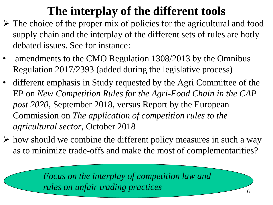#### **The interplay of the different tools**

- $\triangleright$  The choice of the proper mix of policies for the agricultural and food supply chain and the interplay of the different sets of rules are hotly debated issues. See for instance:
- amendments to the CMO Regulation 1308/2013 by the Omnibus Regulation 2017/2393 (added during the legislative process)
- different emphasis in Study requested by the Agri Committee of the EP on *New Competition Rules for the Agri-Food Chain in the CAP post 2020*, September 2018, versus Report by the European Commission on *The application of competition rules to the agricultural sector*, October 2018
- $\triangleright$  how should we combine the different policy measures in such a way as to minimize trade-offs and make the most of complementarities?

*Focus on the interplay of competition law and rules on unfair trading practices*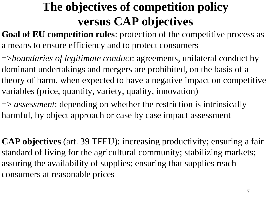#### **The objectives of competition policy versus CAP objectives**

**Goal of EU competition rules:** protection of the competitive process as a means to ensure efficiency and to protect consumers

=>*boundaries of legitimate conduct*: agreements, unilateral conduct by dominant undertakings and mergers are prohibited, on the basis of a theory of harm, when expected to have a negative impact on competitive variables (price, quantity, variety, quality, innovation)

=> *assessment*: depending on whether the restriction is intrinsically harmful, by object approach or case by case impact assessment

**CAP objectives** (art. 39 TFEU): increasing productivity; ensuring a fair standard of living for the agricultural community; stabilizing markets; assuring the availability of supplies; ensuring that supplies reach consumers at reasonable prices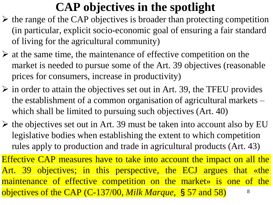#### **CAP objectives in the spotlight**

- $\triangleright$  the range of the CAP objectives is broader than protecting competition (in particular, explicit socio-economic goal of ensuring a fair standard of living for the agricultural community)
- $\triangleright$  at the same time, the maintenance of effective competition on the market is needed to pursue some of the Art. 39 objectives (reasonable prices for consumers, increase in productivity)
- $\triangleright$  in order to attain the objectives set out in Art. 39, the TFEU provides the establishment of a common organisation of agricultural markets – which shall be limited to pursuing such objectives (Art. 40)
- $\triangleright$  the objectives set out in Art. 39 must be taken into account also by EU legislative bodies when establishing the extent to which competition rules apply to production and trade in agricultural products (Art. 43)

Effective CAP measures have to take into account the impact on all the Art. 39 objectives; in this perspective, the ECJ argues that «the maintenance of effective competition on the market» is one of the objectives of the CAP (C-137/00, *Milk Marque*, §57 and 58) 8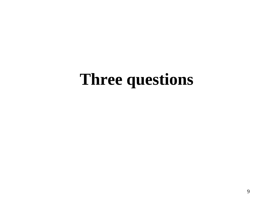## **Three questions**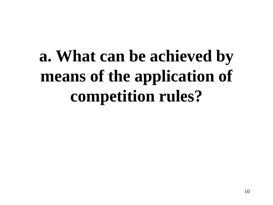# **a. What can be achieved by means of the application of competition rules?**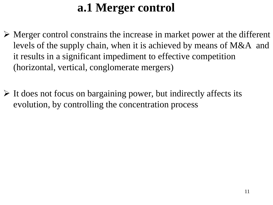#### **a.1 Merger control**

- ➢ Merger control constrains the increase in market power at the different levels of the supply chain, when it is achieved by means of M&A and it results in a significant impediment to effective competition (horizontal, vertical, conglomerate mergers)
- ➢ It does not focus on bargaining power, but indirectly affects its evolution, by controlling the concentration process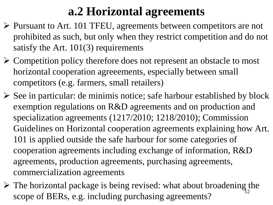#### **a.2 Horizontal agreements**

- ➢ Pursuant to Art. 101 TFEU, agreements between competitors are not prohibited as such, but only when they restrict competition and do not satisfy the Art. 101(3) requirements
- ➢ Competition policy therefore does not represent an obstacle to most horizontal cooperation agreeements, especially between small competitors (e.g. farmers, small retailers)
- $\triangleright$  See in particular: de minimis notice; safe harbour established by block exemption regulations on R&D agreements and on production and specialization agreements (1217/2010; 1218/2010); Commission Guidelines on Horizontal cooperation agreements explaining how Art. 101 is applied outside the safe harbour for some categories of cooperation agreements including exchange of information, R&D agreements, production agreements, purchasing agreements, commercialization agreements
- $\triangleright$  The horizontal package is being revised: what about broadening the scope of BERs, e.g. including purchasing agreements?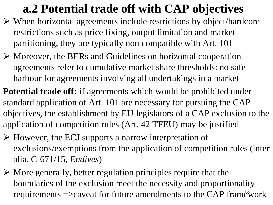#### **a.2 Potential trade off with CAP objectives**

- ➢ When horizontal agreements include restrictions by object/hardcore restrictions such as price fixing, output limitation and market partitioning, they are typically non compatible with Art. 101
- ➢ Moreover, the BERs and Guidelines on horizontal cooperation agreements refer to cumulative market share thresholds: no safe harbour for agreements involving all undertakings in a market

**Potential trade off:** if agreements which would be prohibited under standard application of Art. 101 are necessary for pursuing the CAP objectives, the establishment by EU legislators of a CAP exclusion to the application of competition rules (Art. 42 TFEU) may be justified

- ➢ However, the ECJ supports a narrow interpretation of exclusions/exemptions from the application of competition rules (inter alia, C-671/15, *Endives*)
- $\triangleright$  More generally, better regulation principles require that the boundaries of the exclusion meet the necessity and proportionality requirements  $\Rightarrow$  caveat for future amendments to the CAP framework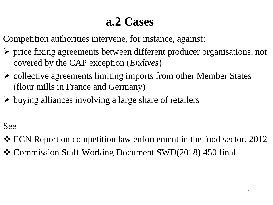#### **a.2 Cases**

Competition authorities intervene, for instance, against:

- ➢ price fixing agreements between different producer organisations, not covered by the CAP exception (*Endives*)
- ➢ collective agreements limiting imports from other Member States (flour mills in France and Germany)
- ➢ buying alliances involving a large share of retailers

#### See

- ❖ ECN Report on competition law enforcement in the food sector, 2012
- ❖ Commission Staff Working Document SWD(2018) 450 final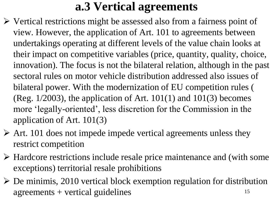#### **a.3 Vertical agreements**

- ➢ Vertical restrictions might be assessed also from a fairness point of view. However, the application of Art. 101 to agreements between undertakings operating at different levels of the value chain looks at their impact on competitive variables (price, quantity, quality, choice, innovation). The focus is not the bilateral relation, although in the past sectoral rules on motor vehicle distribution addressed also issues of bilateral power. With the modernization of EU competition rules ( (Reg.  $1/2003$ ), the application of Art.  $101(1)$  and  $101(3)$  becomes more 'legally-oriented', less discretion for the Commission in the application of Art. 101(3)
- $\triangleright$  Art. 101 does not impede impede vertical agreements unless they restrict competition
- ➢ Hardcore restrictions include resale price maintenance and (with some exceptions) territorial resale prohibitions
- $\triangleright$  De minimis, 2010 vertical block exemption regulation for distribution  $agreenents + vertical guidelines$  15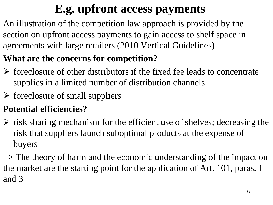## **E.g. upfront access payments**

An illustration of the competition law approach is provided by the section on upfront access payments to gain access to shelf space in agreements with large retailers (2010 Vertical Guidelines)

#### **What are the concerns for competition?**

- ➢ foreclosure of other distributors if the fixed fee leads to concentrate supplies in a limited number of distribution channels
- $\triangleright$  foreclosure of small suppliers

#### **Potential efficiencies?**

 $\triangleright$  risk sharing mechanism for the efficient use of shelves; decreasing the risk that suppliers launch suboptimal products at the expense of buyers

 $\Rightarrow$  The theory of harm and the economic understanding of the impact on the market are the starting point for the application of Art. 101, paras. 1 and 3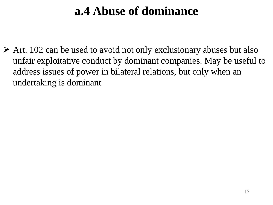#### **a.4 Abuse of dominance**

 $\triangleright$  Art. 102 can be used to avoid not only exclusionary abuses but also unfair exploitative conduct by dominant companies. May be useful to address issues of power in bilateral relations, but only when an undertaking is dominant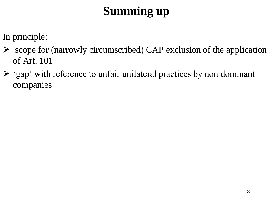## **Summing up**

In principle:

- $\triangleright$  scope for (narrowly circumscribed) CAP exclusion of the application of Art. 101
- ➢ 'gap' with reference to unfair unilateral practices by non dominant companies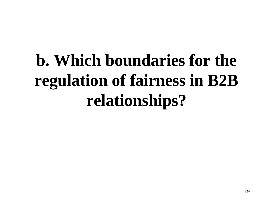# **b. Which boundaries for the regulation of fairness in B2B relationships?**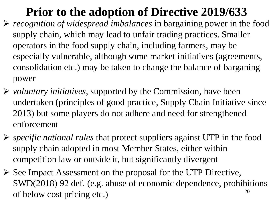## **Prior to the adoption of Directive 2019/633**

- ➢ *recognition of widespread imbalances* in bargaining power in the food supply chain, which may lead to unfair trading practices. Smaller operators in the food supply chain, including farmers, may be especially vulnerable, although some market initiatives (agreements, consolidation etc.) may be taken to change the balance of barganing power
- ➢ *voluntary initiatives*, supported by the Commission, have been undertaken (principles of good practice, Supply Chain Initiative since 2013) but some players do not adhere and need for strengthened enforcement
- ➢ *specific national rules* that protect suppliers against UTP in the food supply chain adopted in most Member States, either within competition law or outside it, but significantly divergent
- ➢ See Impact Assessment on the proposal for the UTP Directive, SWD(2018) 92 def. (e.g. abuse of economic dependence, prohibitions of below cost pricing etc.)  $20$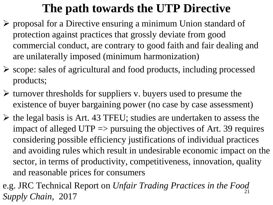#### **The path towards the UTP Directive**

- ➢ proposal for a Directive ensuring a minimum Union standard of protection against practices that grossly deviate from good commercial conduct, are contrary to good faith and fair dealing and are unilaterally imposed (minimum harmonization)
- ➢ scope: sales of agricultural and food products, including processed products;
- $\triangleright$  turnover thresholds for suppliers v. buyers used to presume the existence of buyer bargaining power (no case by case assessment)
- $\triangleright$  the legal basis is Art. 43 TFEU; studies are undertaken to assess the impact of alleged  $UTP \Rightarrow$  pursuing the objectives of Art. 39 requires considering possible efficiency justifications of individual practices and avoiding rules which result in undesirable economic impact on the sector, in terms of productivity, competitiveness, innovation, quality and reasonable prices for consumers
- e.g. JRC Technical Report on *Unfair Trading Practices in the Food Supply Chain, 2017*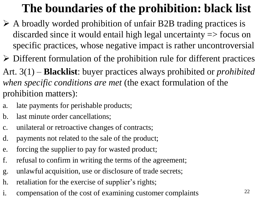## **The boundaries of the prohibition: black list**

- ➢ A broadly worded prohibition of unfair B2B trading practices is discarded since it would entail high legal uncertainty => focus on specific practices, whose negative impact is rather uncontroversial
- $\triangleright$  Different formulation of the prohibition rule for different practices

Art. 3(1) – **Blacklist**: buyer practices always prohibited or *prohibited when specific conditions are met* (the exact formulation of the prohibition matters):

- a. late payments for perishable products;
- b. last minute order cancellations;
- c. unilateral or retroactive changes of contracts;
- d. payments not related to the sale of the product;
- e. forcing the supplier to pay for wasted product;
- f. refusal to confirm in writing the terms of the agreement;
- g. unlawful acquisition, use or disclosure of trade secrets;
- h. retaliation for the exercise of supplier's rights;
- i. compensation of the cost of examining customer complaints 22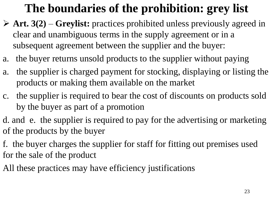## **The boundaries of the prohibition: grey list**

- ➢ **Art. 3(2) Greylist:** practices prohibited unless previously agreed in clear and unambiguous terms in the supply agreement or in a subsequent agreement between the supplier and the buyer:
- a. the buyer returns unsold products to the supplier without paying
- a. the supplier is charged payment for stocking, displaying or listing the products or making them available on the market
- c. the supplier is required to bear the cost of discounts on products sold by the buyer as part of a promotion
- d. and e. the supplier is required to pay for the advertising or marketing of the products by the buyer
- f. the buyer charges the supplier for staff for fitting out premises used for the sale of the product
- All these practices may have efficiency justifications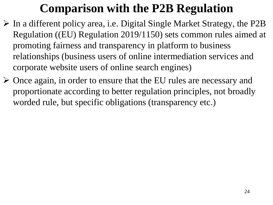### **Comparison with the P2B Regulation**

- ➢ In a different policy area, i.e. Digital Single Market Strategy, the P2B Regulation ((EU) Regulation 2019/1150) sets common rules aimed at promoting fairness and transparency in platform to business relationships (business users of online intermediation services and corporate website users of online search engines)
- ➢ Once again, in order to ensure that the EU rules are necessary and proportionate according to better regulation principles, not broadly worded rule, but specific obligations (transparency etc.)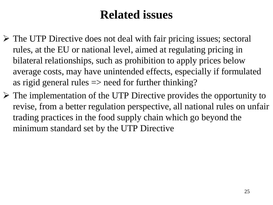#### **Related issues**

- ➢ The UTP Directive does not deal with fair pricing issues; sectoral rules, at the EU or national level, aimed at regulating pricing in bilateral relationships, such as prohibition to apply prices below average costs, may have unintended effects, especially if formulated as rigid general rules  $\Rightarrow$  need for further thinking?
- $\triangleright$  The implementation of the UTP Directive provides the opportunity to revise, from a better regulation perspective, all national rules on unfair trading practices in the food supply chain which go beyond the minimum standard set by the UTP Directive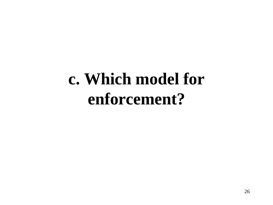# **c. Which model for enforcement?**